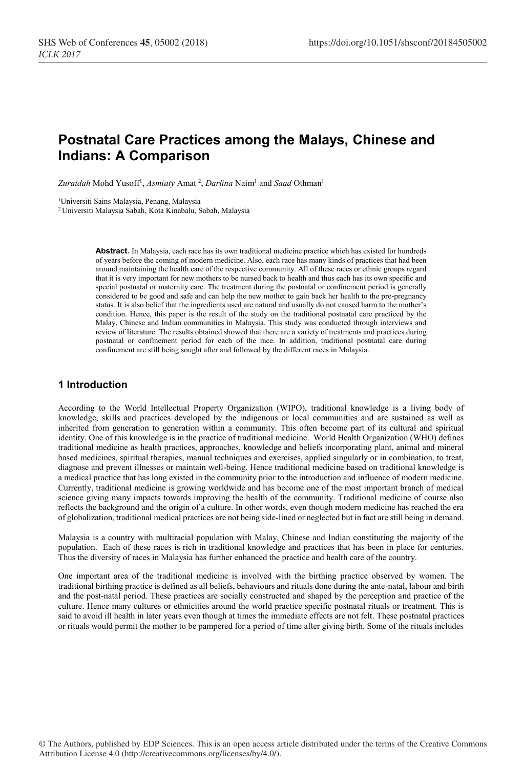# **Postnatal Care Practices among the Malays, Chinese and Indians: A Comparison**

Zuraidah Mohd Yusoff<sup>1</sup>, *Asmiaty* Amat<sup>2</sup>, *Darlina* Naim<sup>1</sup> and *Saad* Othman<sup>1</sup>

1Universiti Sains Malaysia, Penang, Malaysia

2 Universiti Malaysia Sabah, Kota Kinabalu, Sabah, Malaysia

**Abstract.** In Malaysia, each race has its own traditional medicine practice which has existed for hundreds of years before the coming of modern medicine. Also, each race has many kinds of practices that had been around maintaining the health care of the respective community. All of these races or ethnic groups regard that it is very important for new mothers to be nursed back to health and thus each has its own specific and special postnatal or maternity care. The treatment during the postnatal or confinement period is generally considered to be good and safe and can help the new mother to gain back her health to the pre-pregnancy status. It is also belief that the ingredients used are natural and usually do not caused harm to the mother's condition. Hence, this paper is the result of the study on the traditional postnatal care practiced by the Malay, Chinese and Indian communities in Malaysia. This study was conducted through interviews and review of literature. The results obtained showed that there are a variety of treatments and practices during postnatal or confinement period for each of the race. In addition, traditional postnatal care during confinement are still being sought after and followed by the different races in Malaysia.

# **1 Introduction**

According to the World Intellectual Property Organization (WIPO), traditional knowledge is a living body of knowledge, skills and practices developed by the indigenous or local communities and are sustained as well as inherited from generation to generation within a community. This often become part of its cultural and spiritual identity. One of this knowledge is in the practice of traditional medicine. World Health Organization (WHO) defines traditional medicine as health practices, approaches, knowledge and beliefs incorporating plant, animal and mineral based medicines, spiritual therapies, manual techniques and exercises, applied singularly or in combination, to treat, diagnose and prevent illnesses or maintain well-being. Hence traditional medicine based on traditional knowledge is a medical practice that has long existed in the community prior to the introduction and influence of modern medicine. Currently, traditional medicine is growing worldwide and has become one of the most important branch of medical science giving many impacts towards improving the health of the community. Traditional medicine of course also reflects the background and the origin of a culture. In other words, even though modern medicine has reached the era of globalization, traditional medical practices are not being side-lined or neglected but in fact are still being in demand.

Malaysia is a country with multiracial population with Malay, Chinese and Indian constituting the majority of the population. Each of these races is rich in traditional knowledge and practices that has been in place for centuries. Thus the diversity of races in Malaysia has further enhanced the practice and health care of the country.

One important area of the traditional medicine is involved with the birthing practice observed by women. The traditional birthing practice is defined as all beliefs, behaviours and rituals done during the ante-natal, labour and birth and the post-natal period. These practices are socially constructed and shaped by the perception and practice of the culture. Hence many cultures or ethnicities around the world practice specific postnatal rituals or treatment. This is said to avoid ill health in later years even though at times the immediate effects are not felt. These postnatal practices or rituals would permit the mother to be pampered for a period of time after giving birth. Some of the rituals includes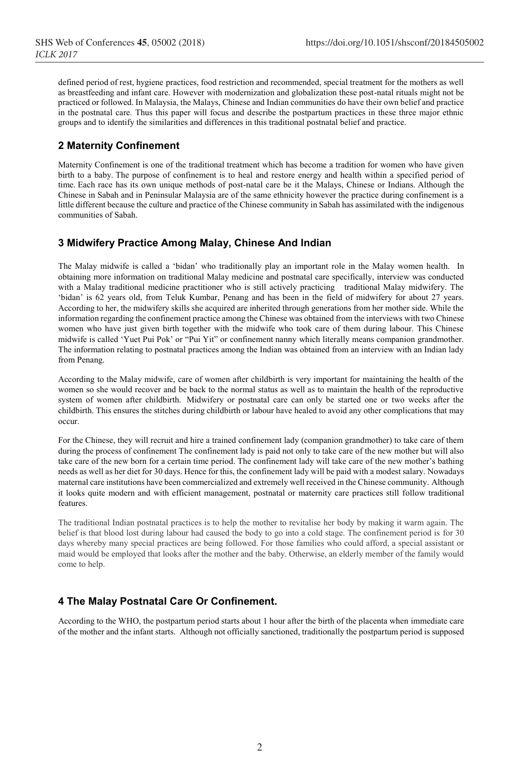defined period of rest, hygiene practices, food restriction and recommended, special treatment for the mothers as well as breastfeeding and infant care. However with modernization and globalization these post-natal rituals might not be practiced or followed. In Malaysia, the Malays, Chinese and Indian communities do have their own belief and practice in the postnatal care. Thus this paper will focus and describe the postpartum practices in these three major ethnic groups and to identify the similarities and differences in this traditional postnatal belief and practice.

# **2 Maternity Confinement**

Maternity Confinement is one of the traditional treatment which has become a tradition for women who have given birth to a baby. The purpose of confinement is to heal and restore energy and health within a specified period of time. Each race has its own unique methods of post-natal care be it the Malays, Chinese or Indians. Although the Chinese in Sabah and in Peninsular Malaysia are of the same ethnicity however the practice during confinement is a little different because the culture and practice of the Chinese community in Sabah has assimilated with the indigenous communities of Sabah.

# **3 Midwifery Practice Among Malay, Chinese And Indian**

The Malay midwife is called a 'bidan' who traditionally play an important role in the Malay women health. In obtaining more information on traditional Malay medicine and postnatal care specifically, interview was conducted with a Malay traditional medicine practitioner who is still actively practicing traditional Malay midwifery. The 'bidan' is 62 years old, from Teluk Kumbar, Penang and has been in the field of midwifery for about 27 years. According to her, the midwifery skills she acquired are inherited through generations from her mother side. While the information regarding the confinement practice among the Chinese was obtained from the interviews with two Chinese women who have just given birth together with the midwife who took care of them during labour. This Chinese midwife is called 'Yuet Pui Pok' or "Pui Yit" or confinement nanny which literally means companion grandmother. The information relating to postnatal practices among the Indian was obtained from an interview with an Indian lady from Penang.

According to the Malay midwife, care of women after childbirth is very important for maintaining the health of the women so she would recover and be back to the normal status as well as to maintain the health of the reproductive system of women after childbirth. Midwifery or postnatal care can only be started one or two weeks after the childbirth. This ensures the stitches during childbirth or labour have healed to avoid any other complications that may occur.

For the Chinese, they will recruit and hire a trained confinement lady (companion grandmother) to take care of them during the process of confinement The confinement lady is paid not only to take care of the new mother but will also take care of the new born for a certain time period. The confinement lady will take care of the new mother's bathing needs as well as her diet for 30 days. Hence for this, the confinement lady will be paid with a modest salary. Nowadays maternal care institutions have been commercialized and extremely well received in the Chinese community. Although it looks quite modern and with efficient management, postnatal or maternity care practices still follow traditional features.

The traditional Indian postnatal practices is to help the mother to revitalise her body by making it warm again. The belief is that blood lost during labour had caused the body to go into a cold stage. The confinement period is for 30 days whereby many special practices are being followed. For those families who could afford, a special assistant or maid would be employed that looks after the mother and the baby. Otherwise, an elderly member of the family would come to help.

# **4 The Malay Postnatal Care Or Confinement.**

According to the WHO, the postpartum period starts about 1 hour after the birth of the placenta when immediate care of the mother and the infant starts. Although not officially sanctioned, traditionally the postpartum period is supposed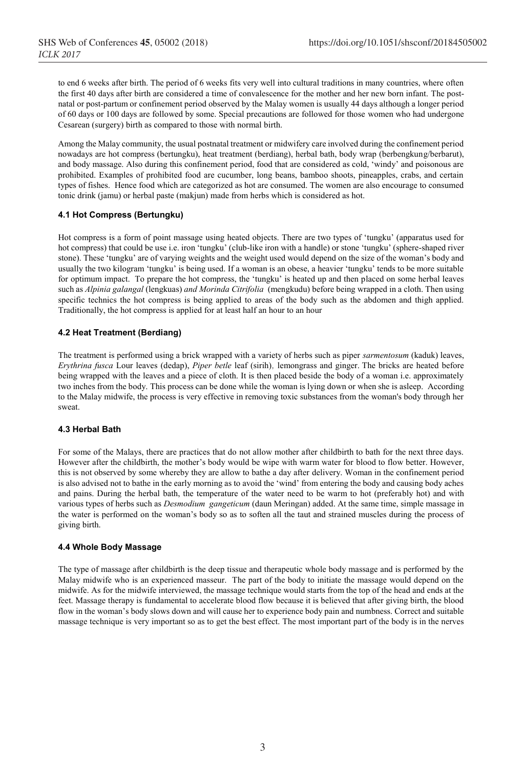to end 6 weeks after birth. The period of 6 weeks fits very well into cultural traditions in many countries, where often the first 40 days after birth are considered a time of convalescence for the mother and her new born infant. The postnatal or post-partum or confinement period observed by the Malay women is usually 44 days although a longer period of 60 days or 100 days are followed by some. Special precautions are followed for those women who had undergone Cesarean (surgery) birth as compared to those with normal birth.

Among the Malay community, the usual postnatal treatment or midwifery care involved during the confinement period nowadays are hot compress (bertungku), heat treatment (berdiang), herbal bath, body wrap (berbengkung/berbarut), and body massage. Also during this confinement period, food that are considered as cold, 'windy' and poisonous are prohibited. Examples of prohibited food are cucumber, long beans, bamboo shoots, pineapples, crabs, and certain types of fishes. Hence food which are categorized as hot are consumed. The women are also encourage to consumed tonic drink (jamu) or herbal paste (makjun) made from herbs which is considered as hot.

#### **4.1 Hot Compress (Bertungku)**

Hot compress is a form of point massage using heated objects. There are two types of 'tungku' (apparatus used for hot compress) that could be use i.e. iron 'tungku' (club-like iron with a handle) or stone 'tungku' (sphere-shaped river stone). These 'tungku' are of varying weights and the weight used would depend on the size of the woman's body and usually the two kilogram 'tungku' is being used. If a woman is an obese, a heavier 'tungku' tends to be more suitable for optimum impact. To prepare the hot compress, the 'tungku' is heated up and then placed on some herbal leaves such as *Alpinia galangal* (lengkuas) *and Morinda Citrifolia* (mengkudu) before being wrapped in a cloth. Then using specific technics the hot compress is being applied to areas of the body such as the abdomen and thigh applied. Traditionally, the hot compress is applied for at least half an hour to an hour

#### **4.2 Heat Treatment (Berdiang)**

The treatment is performed using a brick wrapped with a variety of herbs such as piper *sarmentosum* (kaduk) leaves, *Erythrina fusca* Lour leaves (dedap), *Piper betle* leaf (sirih), lemongrass and ginger. The bricks are heated before being wrapped with the leaves and a piece of cloth. It is then placed beside the body of a woman i.e. approximately two inches from the body. This process can be done while the woman is lying down or when she is asleep. According to the Malay midwife, the process is very effective in removing toxic substances from the woman's body through her sweat.

#### **4.3 Herbal Bath**

For some of the Malays, there are practices that do not allow mother after childbirth to bath for the next three days. However after the childbirth, the mother's body would be wipe with warm water for blood to flow better. However, this is not observed by some whereby they are allow to bathe a day after delivery. Woman in the confinement period is also advised not to bathe in the early morning as to avoid the 'wind' from entering the body and causing body aches and pains. During the herbal bath, the temperature of the water need to be warm to hot (preferably hot) and with various types of herbs such as *Desmodium gangeticum* (daun Meringan) added. At the same time, simple massage in the water is performed on the woman's body so as to soften all the taut and strained muscles during the process of giving birth.

#### **4.4 Whole Body Massage**

The type of massage after childbirth is the deep tissue and therapeutic whole body massage and is performed by the Malay midwife who is an experienced masseur. The part of the body to initiate the massage would depend on the midwife. As for the midwife interviewed, the massage technique would starts from the top of the head and ends at the feet. Massage therapy is fundamental to accelerate blood flow because it is believed that after giving birth, the blood flow in the woman's body slows down and will cause her to experience body pain and numbness. Correct and suitable massage technique is very important so as to get the best effect. The most important part of the body is in the nerves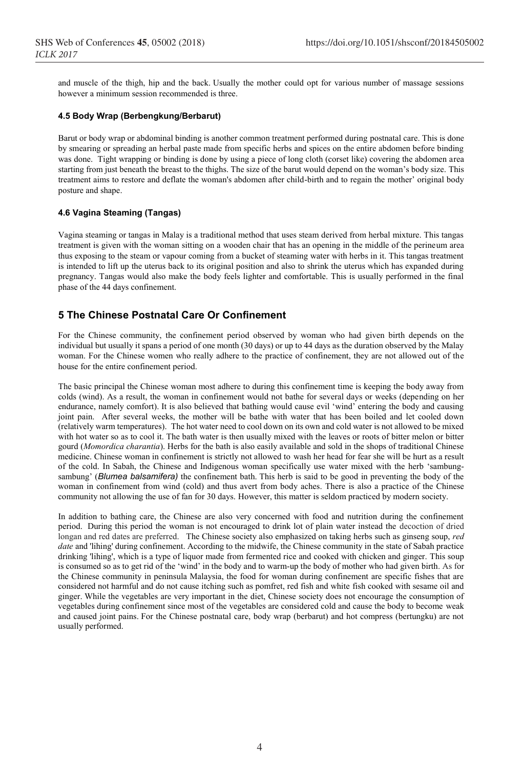and muscle of the thigh, hip and the back. Usually the mother could opt for various number of massage sessions however a minimum session recommended is three.

#### **4.5 Body Wrap (Berbengkung/Berbarut)**

Barut or body wrap or abdominal binding is another common treatment performed during postnatal care. This is done by smearing or spreading an herbal paste made from specific herbs and spices on the entire abdomen before binding was done. Tight wrapping or binding is done by using a piece of long cloth (corset like) covering the abdomen area starting from just beneath the breast to the thighs. The size of the barut would depend on the woman's body size. This treatment aims to restore and deflate the woman's abdomen after child-birth and to regain the mother' original body posture and shape.

#### **4.6 Vagina Steaming (Tangas)**

Vagina steaming or tangas in Malay is a traditional method that uses steam derived from herbal mixture. This tangas treatment is given with the woman sitting on a wooden chair that has an opening in the middle of the perineum area thus exposing to the steam or vapour coming from a bucket of steaming water with herbs in it. This tangas treatment is intended to lift up the uterus back to its original position and also to shrink the uterus which has expanded during pregnancy. Tangas would also make the body feels lighter and comfortable. This is usually performed in the final phase of the 44 days confinement.

### **5 The Chinese Postnatal Care Or Confinement**

For the Chinese community, the confinement period observed by woman who had given birth depends on the individual but usually it spans a period of one month (30 days) or up to 44 days as the duration observed by the Malay woman. For the Chinese women who really adhere to the practice of confinement, they are not allowed out of the house for the entire confinement period.

The basic principal the Chinese woman most adhere to during this confinement time is keeping the body away from colds (wind). As a result, the woman in confinement would not bathe for several days or weeks (depending on her endurance, namely comfort). It is also believed that bathing would cause evil 'wind' entering the body and causing joint pain. After several weeks, the mother will be bathe with water that has been boiled and let cooled down (relatively warm temperatures). The hot water need to cool down on its own and cold water is not allowed to be mixed with hot water so as to cool it. The bath water is then usually mixed with the leaves or roots of bitter melon or bitter gourd (*Momordica charantia*). Herbs for the bath is also easily available and sold in the shops of traditional Chinese medicine. Chinese woman in confinement is strictly not allowed to wash her head for fear she will be hurt as a result of the cold. In Sabah, the Chinese and Indigenous woman specifically use water mixed with the herb 'sambungsambung' (*Blumea balsamifera*) the confinement bath. This herb is said to be good in preventing the body of the woman in confinement from wind (cold) and thus avert from body aches. There is also a practice of the Chinese community not allowing the use of fan for 30 days. However, this matter is seldom practiced by modern society.

In addition to bathing care, the Chinese are also very concerned with food and nutrition during the confinement period. During this period the woman is not encouraged to drink lot of plain water instead the decoction of dried longan and red dates are preferred. The Chinese society also emphasized on taking herbs such as ginseng soup, *red date* and 'lihing' during confinement. According to the midwife, the Chinese community in the state of Sabah practice drinking 'lihing', which is a type of liquor made from fermented rice and cooked with chicken and ginger. This soup is consumed so as to get rid of the 'wind' in the body and to warm-up the body of mother who had given birth. As for the Chinese community in peninsula Malaysia, the food for woman during confinement are specific fishes that are considered not harmful and do not cause itching such as pomfret, red fish and white fish cooked with sesame oil and ginger. While the vegetables are very important in the diet, Chinese society does not encourage the consumption of vegetables during confinement since most of the vegetables are considered cold and cause the body to become weak and caused joint pains. For the Chinese postnatal care, body wrap (berbarut) and hot compress (bertungku) are not usually performed.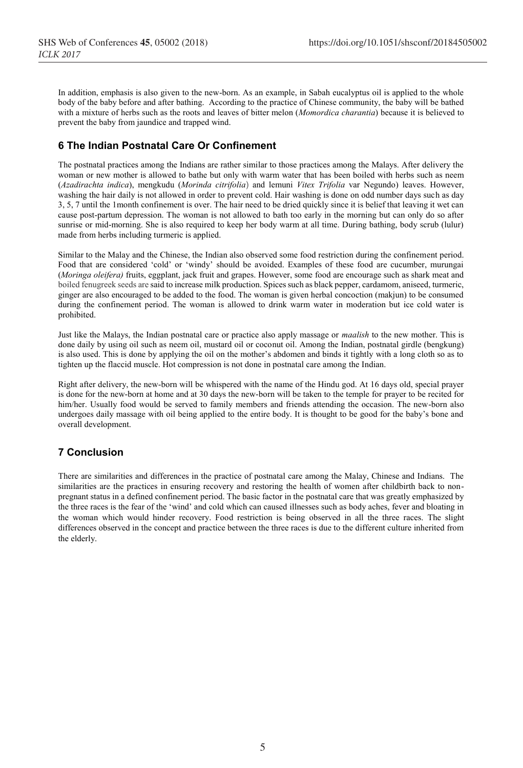In addition, emphasis is also given to the new-born. As an example, in Sabah eucalyptus oil is applied to the whole body of the baby before and after bathing. According to the practice of Chinese community, the baby will be bathed with a mixture of herbs such as the roots and leaves of bitter melon (*Momordica charantia*) because it is believed to prevent the baby from jaundice and trapped wind.

# **6 The Indian Postnatal Care Or Confinement**

The postnatal practices among the Indians are rather similar to those practices among the Malays. After delivery the woman or new mother is allowed to bathe but only with warm water that has been boiled with herbs such as neem (*Azadirachta indica*), mengkudu (*Morinda citrifolia*) and lemuni *Vitex Trifolia* var Negundo) leaves. However, washing the hair daily is not allowed in order to prevent cold. Hair washing is done on odd number days such as day 3, 5, 7 until the 1month confinement is over. The hair need to be dried quickly since it is belief that leaving it wet can cause post-partum depression. The woman is not allowed to bath too early in the morning but can only do so after sunrise or mid-morning. She is also required to keep her body warm at all time. During bathing, body scrub (lulur) made from herbs including turmeric is applied.

Similar to the Malay and the Chinese, the Indian also observed some food restriction during the confinement period. Food that are considered 'cold' or 'windy' should be avoided. Examples of these food are cucumber, murungai (*Moringa oleifera)* fruits, eggplant, jack fruit and grapes. However, some food are encourage such as shark meat and boiled fenugreek seeds are said to increase milk production. Spices such as black pepper, cardamom, aniseed, turmeric, ginger are also encouraged to be added to the food. The woman is given herbal concoction (makjun) to be consumed during the confinement period. The woman is allowed to drink warm water in moderation but ice cold water is prohibited.

Just like the Malays, the Indian postnatal care or practice also apply massage or *maalish* to the new mother. This is done daily by using oil such as neem oil, mustard oil or coconut oil. Among the Indian, postnatal girdle (bengkung) is also used. This is done by applying the oil on the mother's abdomen and binds it tightly with a long cloth so as to tighten up the flaccid muscle. Hot compression is not done in postnatal care among the Indian.

Right after delivery, the new-born will be whispered with the name of the Hindu god. At 16 days old, special prayer is done for the new-born at home and at 30 days the new-born will be taken to the temple for prayer to be recited for him/her. Usually food would be served to family members and friends attending the occasion. The new-born also undergoes daily massage with oil being applied to the entire body. It is thought to be good for the baby's bone and overall development.

# **7 Conclusion**

There are similarities and differences in the practice of postnatal care among the Malay, Chinese and Indians. The similarities are the practices in ensuring recovery and restoring the health of women after childbirth back to nonpregnant status in a defined confinement period. The basic factor in the postnatal care that was greatly emphasized by the three races is the fear of the 'wind' and cold which can caused illnesses such as body aches, fever and bloating in the woman which would hinder recovery. Food restriction is being observed in all the three races. The slight differences observed in the concept and practice between the three races is due to the different culture inherited from the elderly.